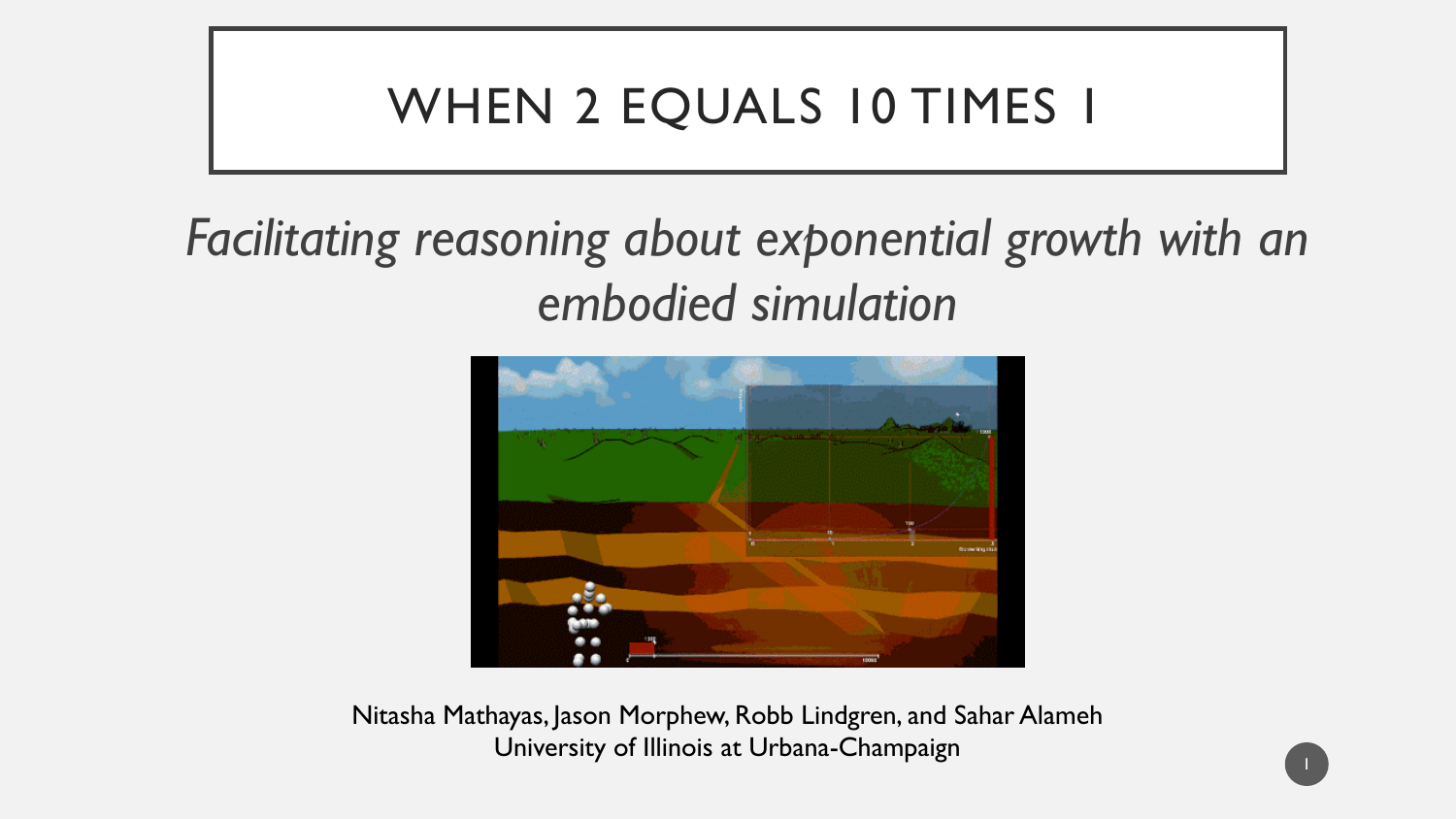## WHEN 2 EQUALS 10 TIMES 1

# *Facilitating reasoning about exponential growth with an embodied simulation*



Nitasha Mathayas, Jason Morphew, Robb Lindgren, and Sahar Alameh University of Illinois at Urbana-Champaign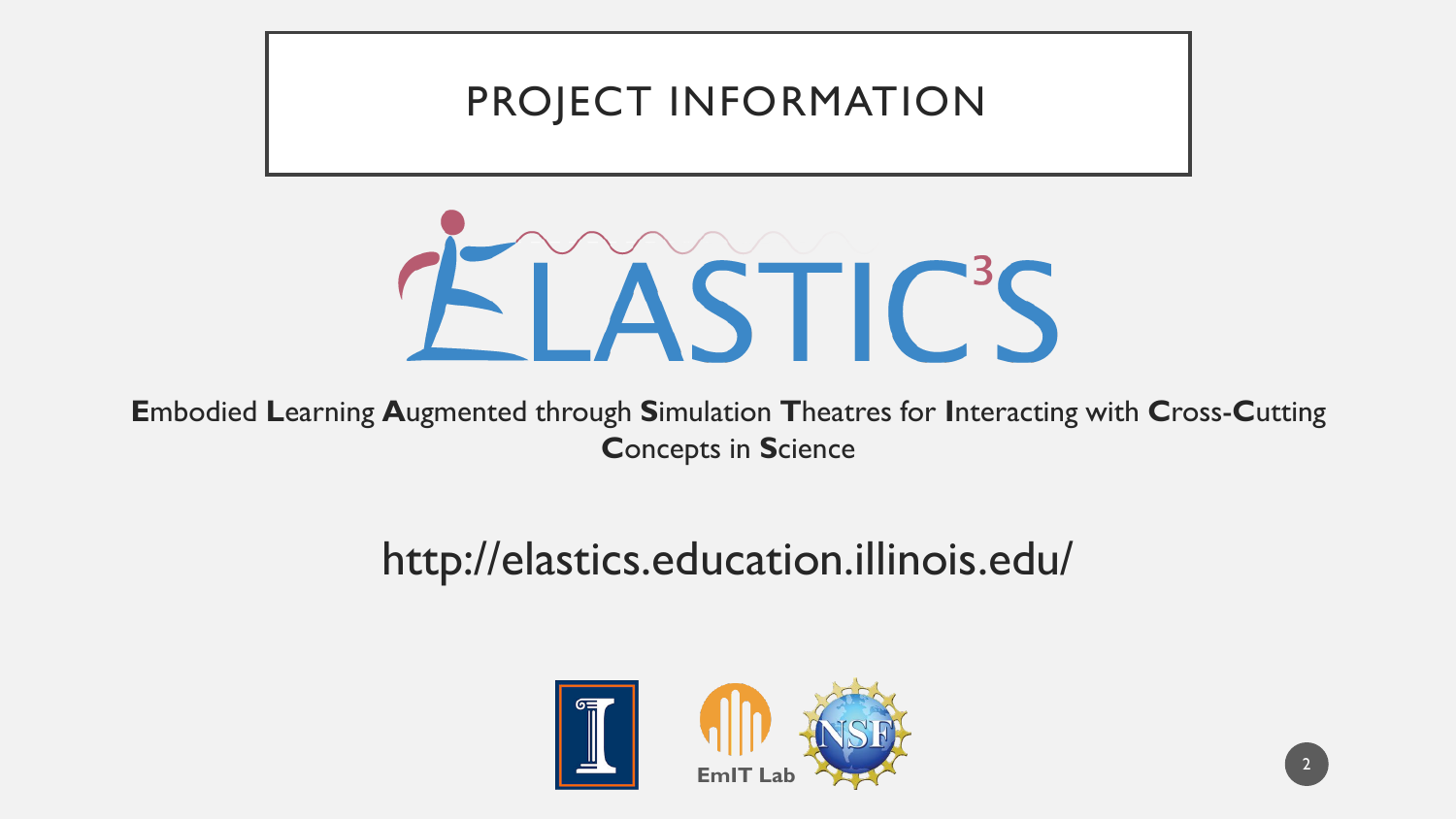## PROJECT INFORMATION



**E**mbodied **L**earning **A**ugmented through **S**imulation **T**heatres for **I**nteracting with **C**ross-**C**utting **C**oncepts in **S**cience

## http://elastics.education.illinois.edu/

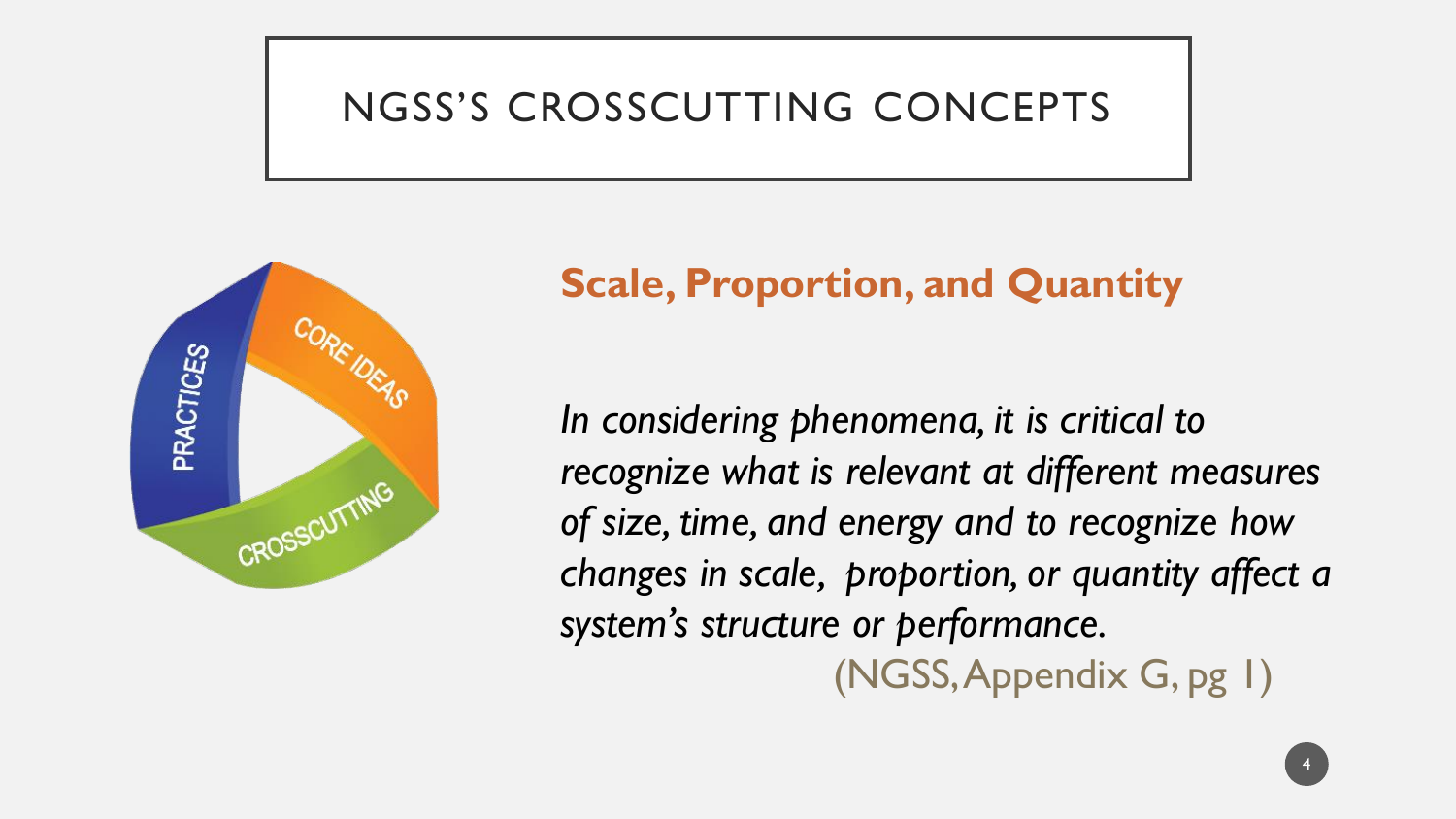## NGSS'S CROSSCUTTING CONCEPTS



## **Scale, Proportion, and Quantity**

*In considering phenomena, it is critical to recognize what is relevant at different measures of size, time, and energy and to recognize how changes in scale, proportion, or quantity affect a system's structure or performance.* 

(NGSS, Appendix G, pg 1)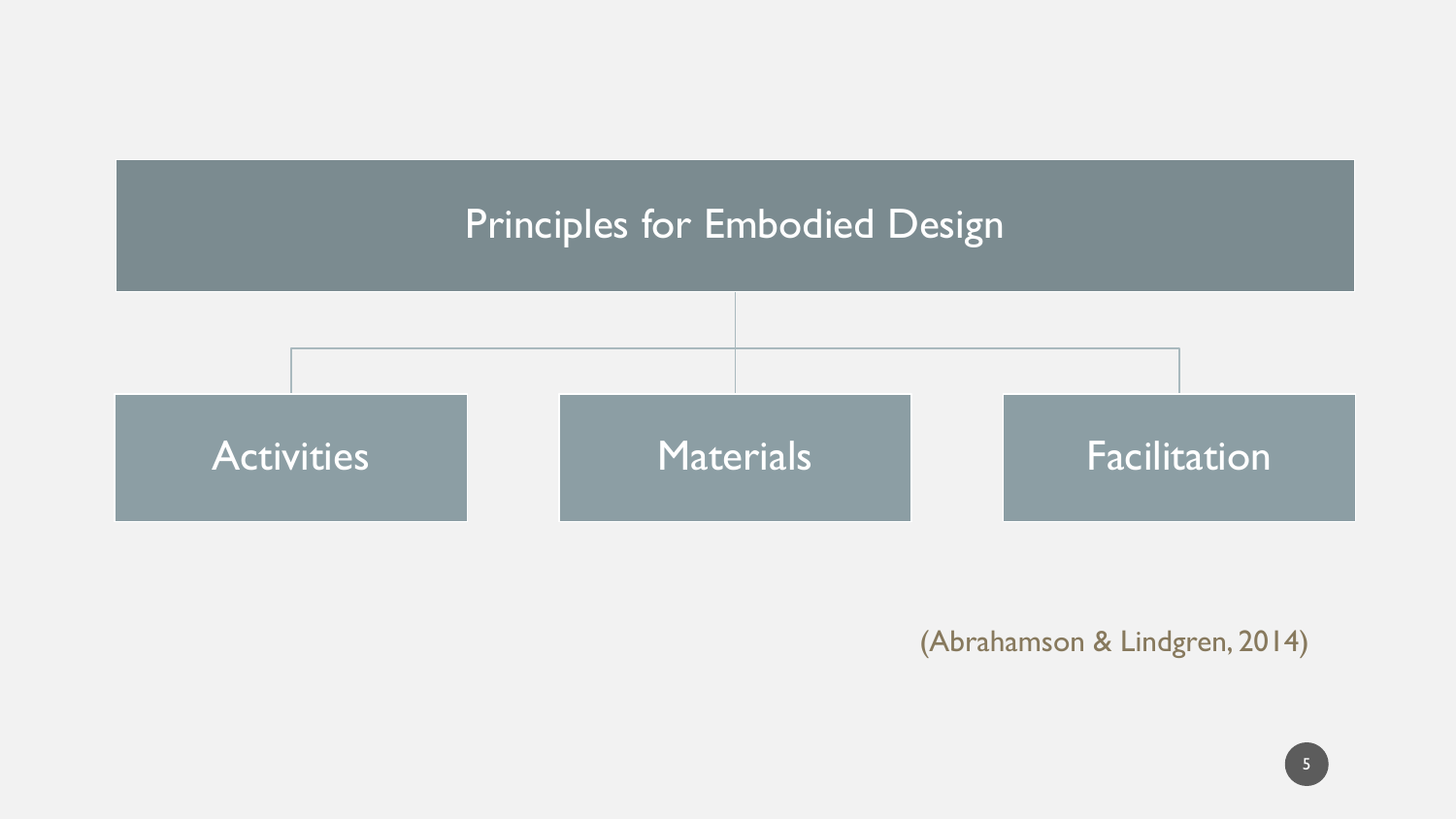

#### (Abrahamson & Lindgren, 2014)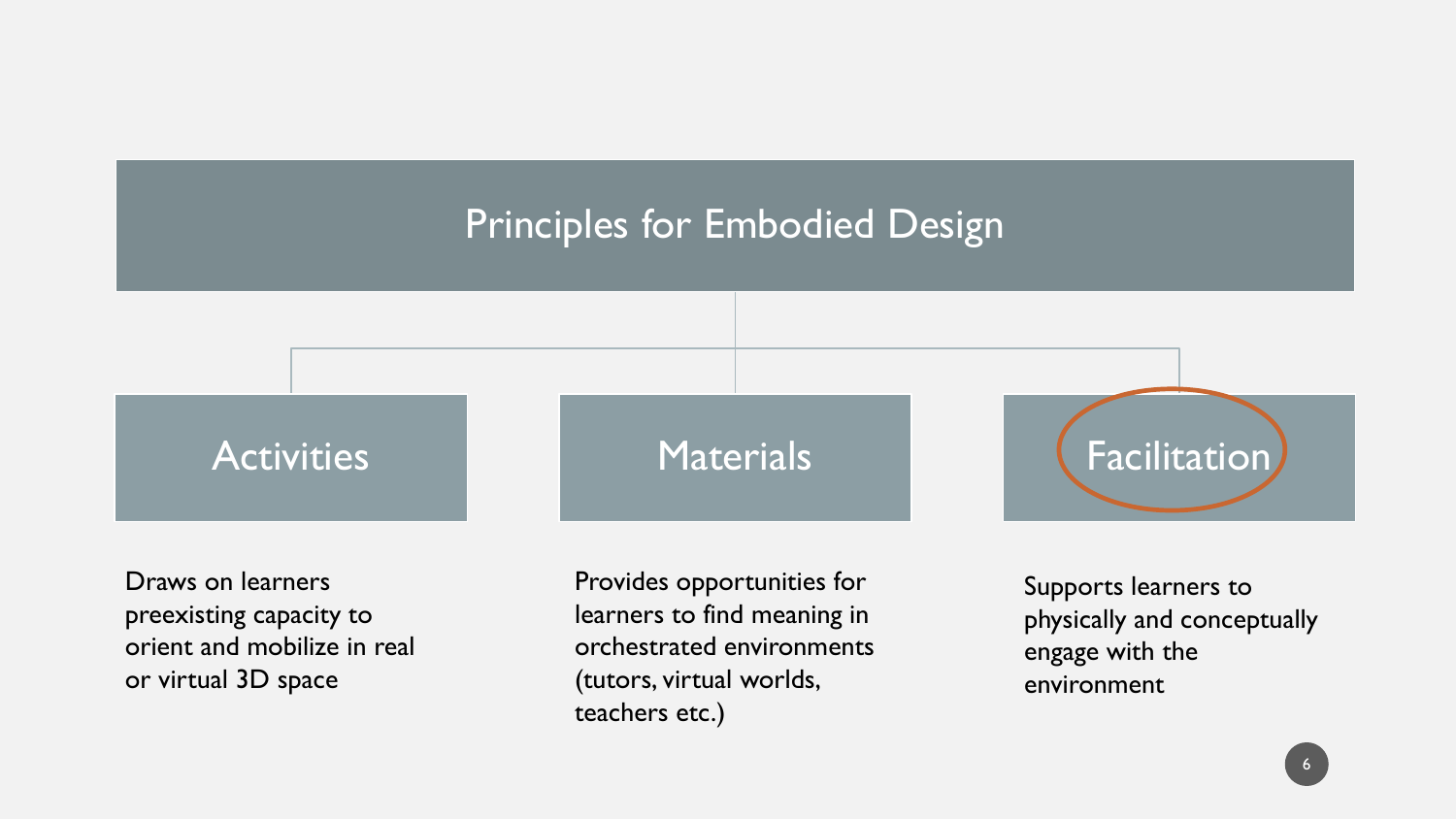



Draws on learners preexisting capacity to orient and mobilize in real or virtual 3D space

Provides opportunities for learners to find meaning in orchestrated environments (tutors, virtual worlds, teachers etc.)

Supports learners to physically and conceptually engage with the environment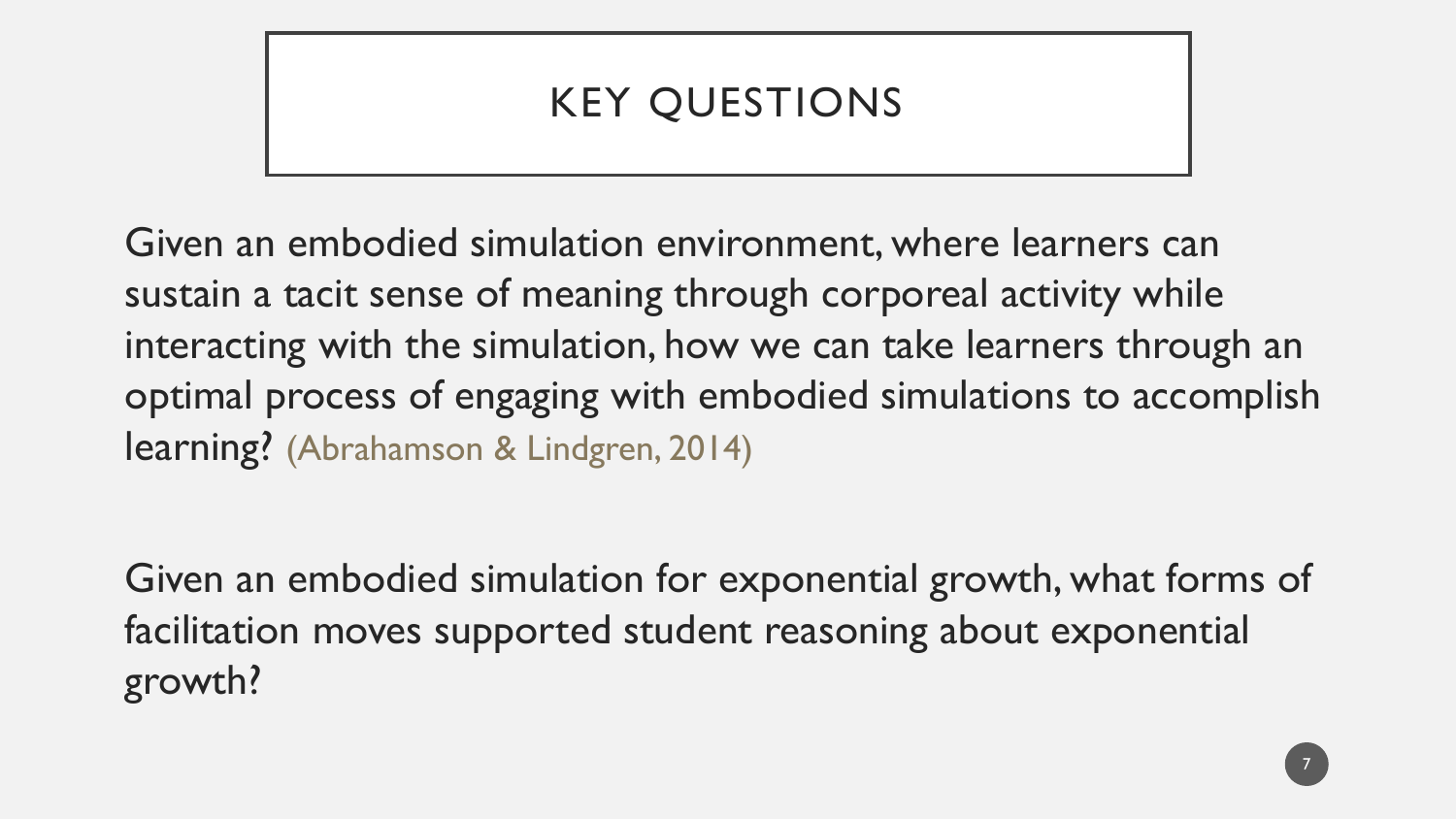## KEY QUESTIONS

Given an embodied simulation environment, where learners can sustain a tacit sense of meaning through corporeal activity while interacting with the simulation, how we can take learners through an optimal process of engaging with embodied simulations to accomplish learning? (Abrahamson & Lindgren, 2014)

Given an embodied simulation for exponential growth, what forms of facilitation moves supported student reasoning about exponential growth?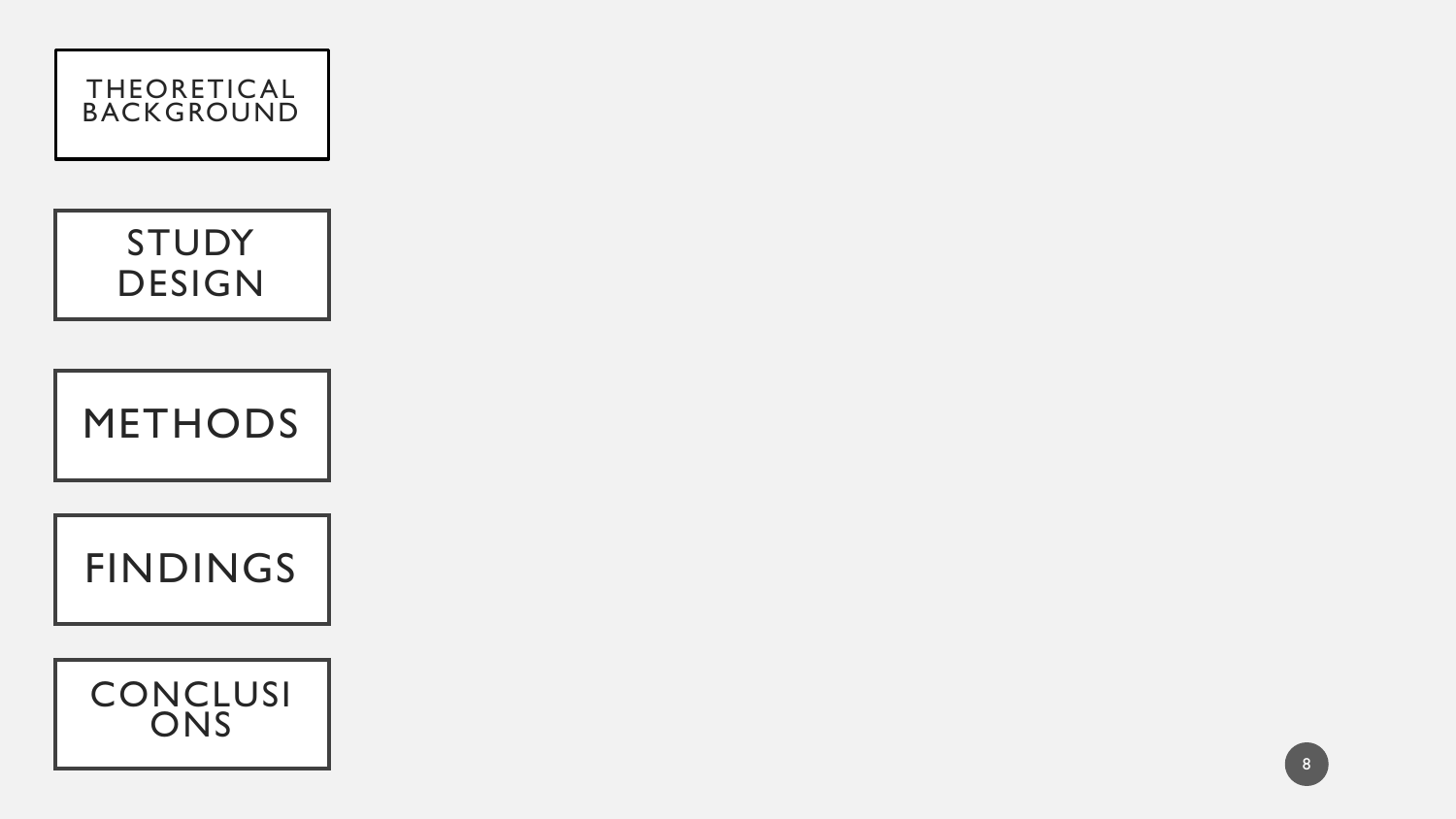

 $\sqrt{8}$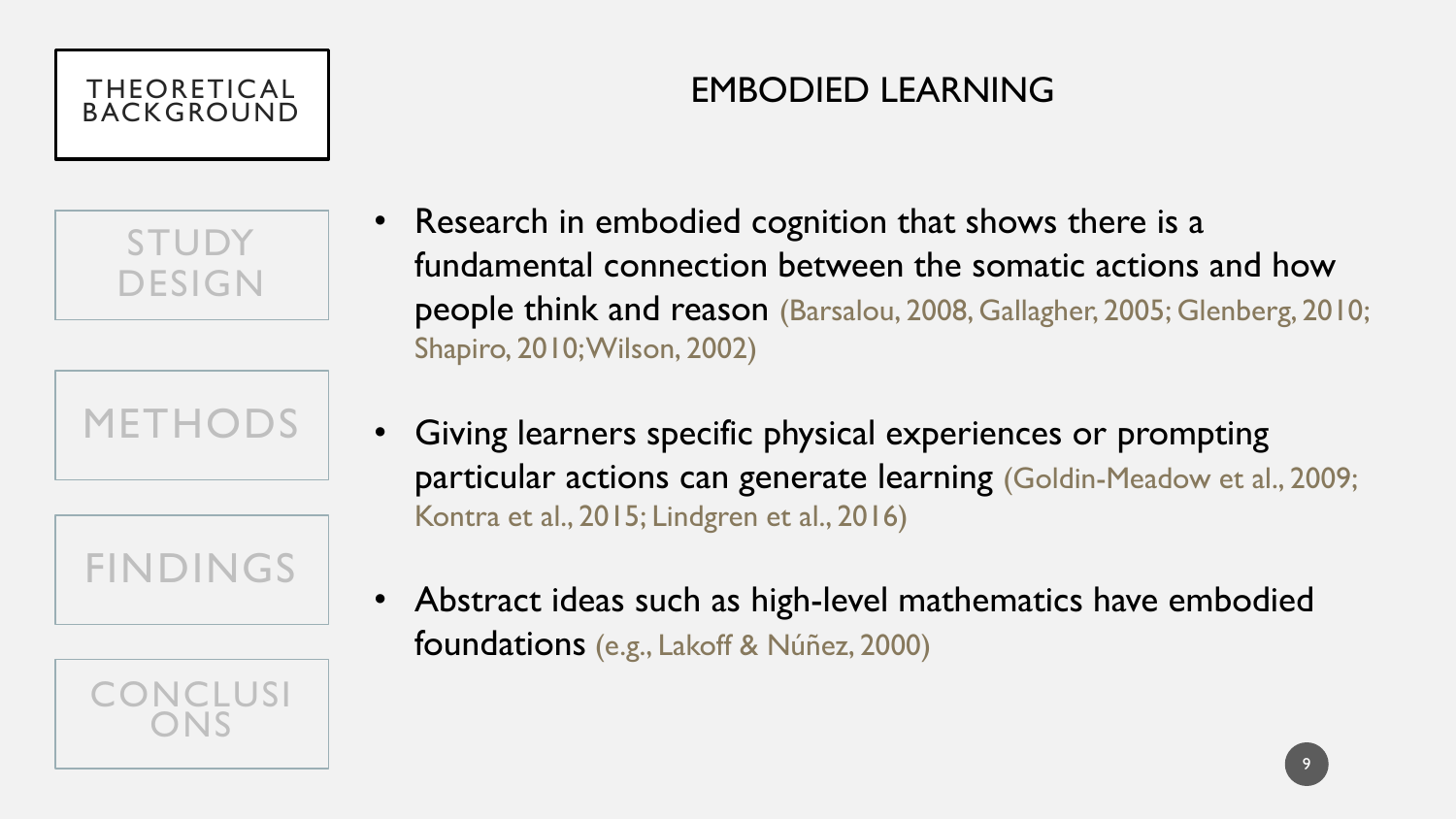### EMBODIED LEARNING

- **STUDY** DESIGN
- Research in embodied cognition that shows there is a fundamental connection between the somatic actions and how people think and reason (Barsalou, 2008, Gallagher, 2005; Glenberg, 2010; Shapiro, 2010; Wilson, 2002)
- METHODS



**ONS** 

NCLUSI

- Giving learners specific physical experiences or prompting particular actions can generate learning (Goldin-Meadow et al., 2009; Kontra et al., 2015; Lindgren et al., 2016)
- Abstract ideas such as high-level mathematics have embodied foundations (e.g., Lakoff & Núñez, 2000)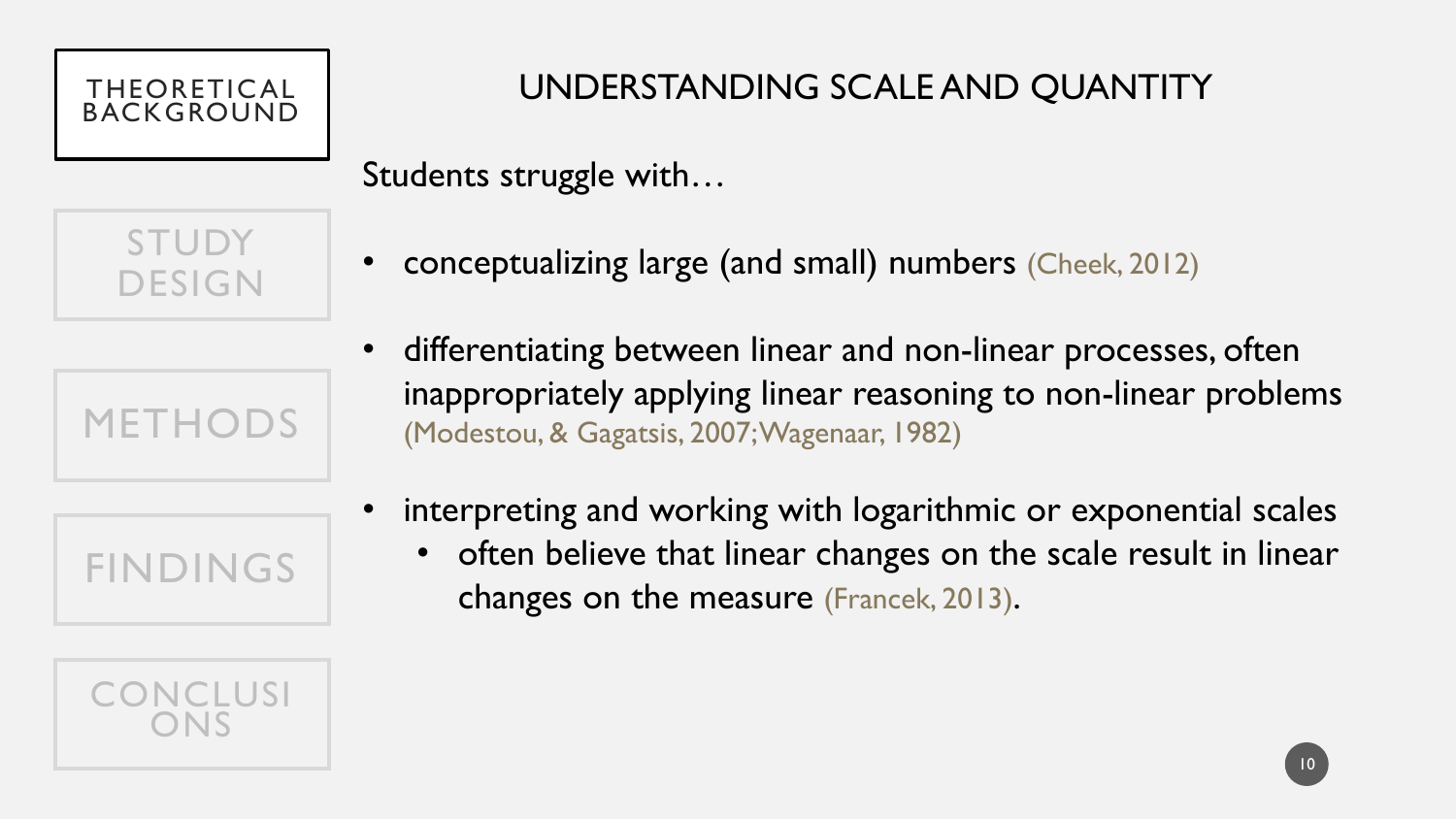STUDY

DESIGN

## UNDERSTANDING SCALE AND QUANTITY

Students struggle with…

- conceptualizing large (and small) numbers (Cheek, 2012)
- differentiating between linear and non-linear processes, often inappropriately applying linear reasoning to non-linear problems (Modestou, & Gagatsis, 2007; Wagenaar, 1982)



METHODS

- interpreting and working with logarithmic or exponential scales
	- often believe that linear changes on the scale result in linear changes on the measure (Francek, 2013).

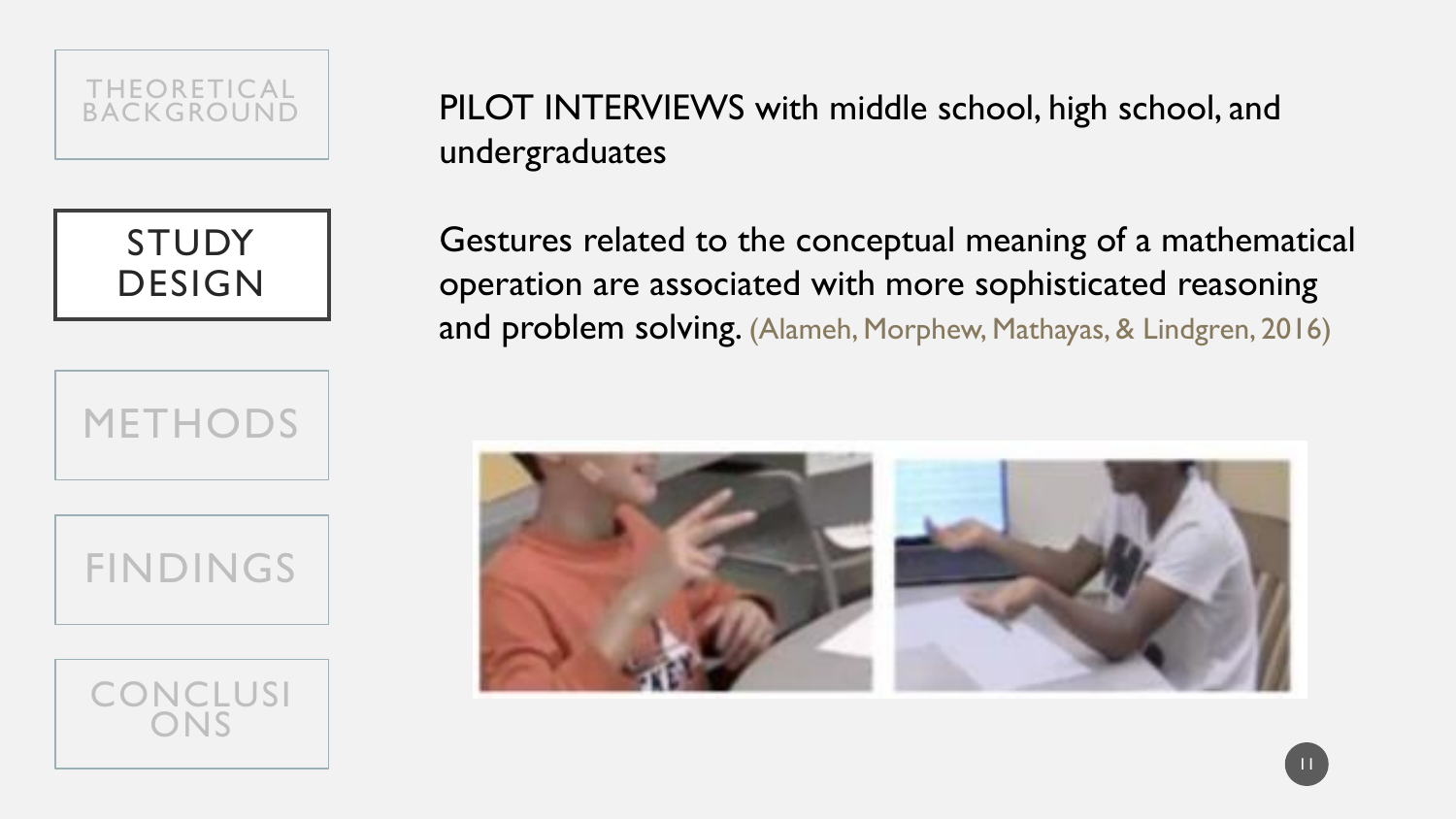

STUDY

DESIGN

PILOT INTERVIEWS with middle school, high school, and undergraduates

Gestures related to the conceptual meaning of a mathematical operation are associated with more sophisticated reasoning and problem solving. (Alameh, Morphew, Mathayas, & Lindgren, 2016)



FINDINGS



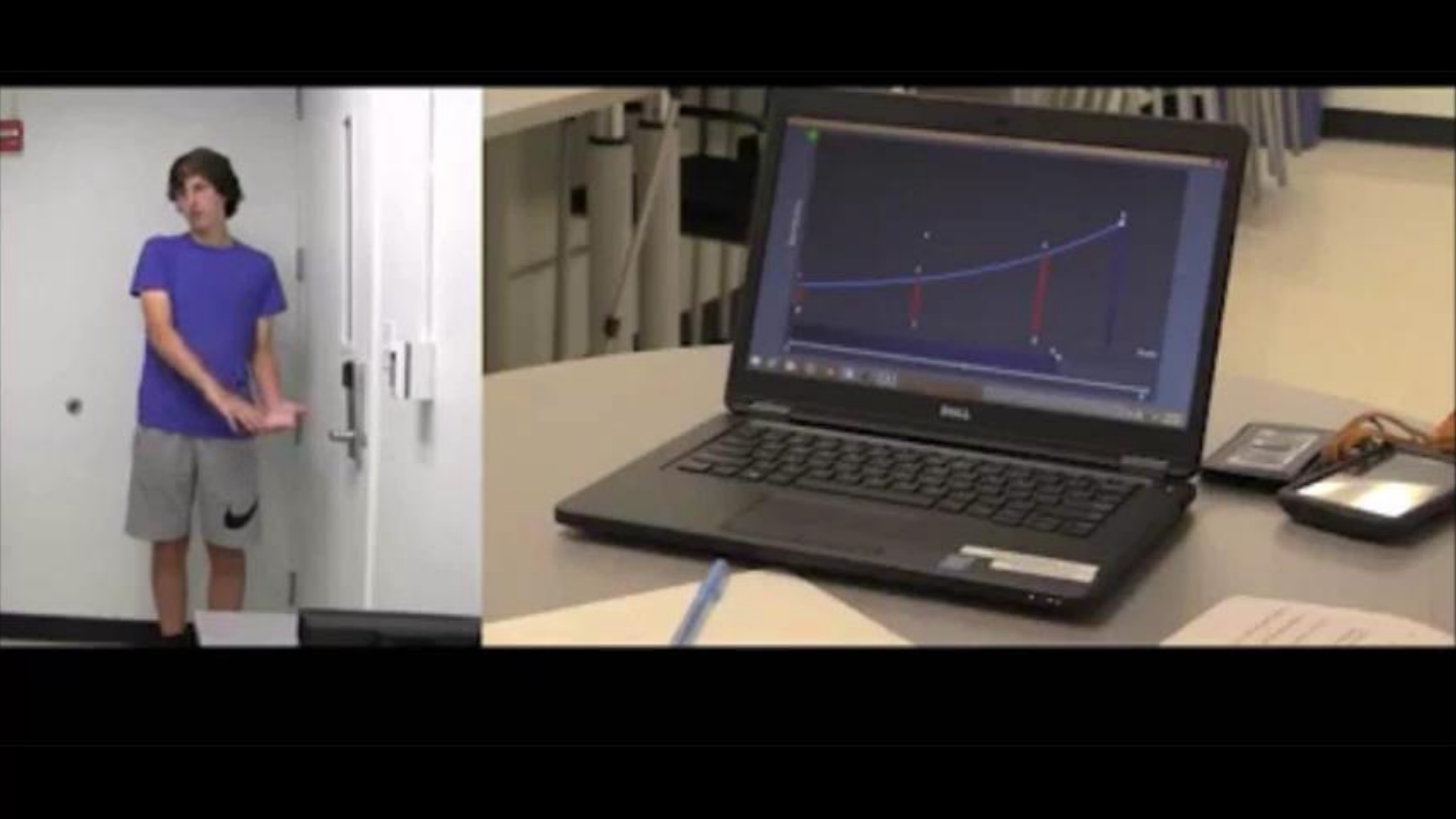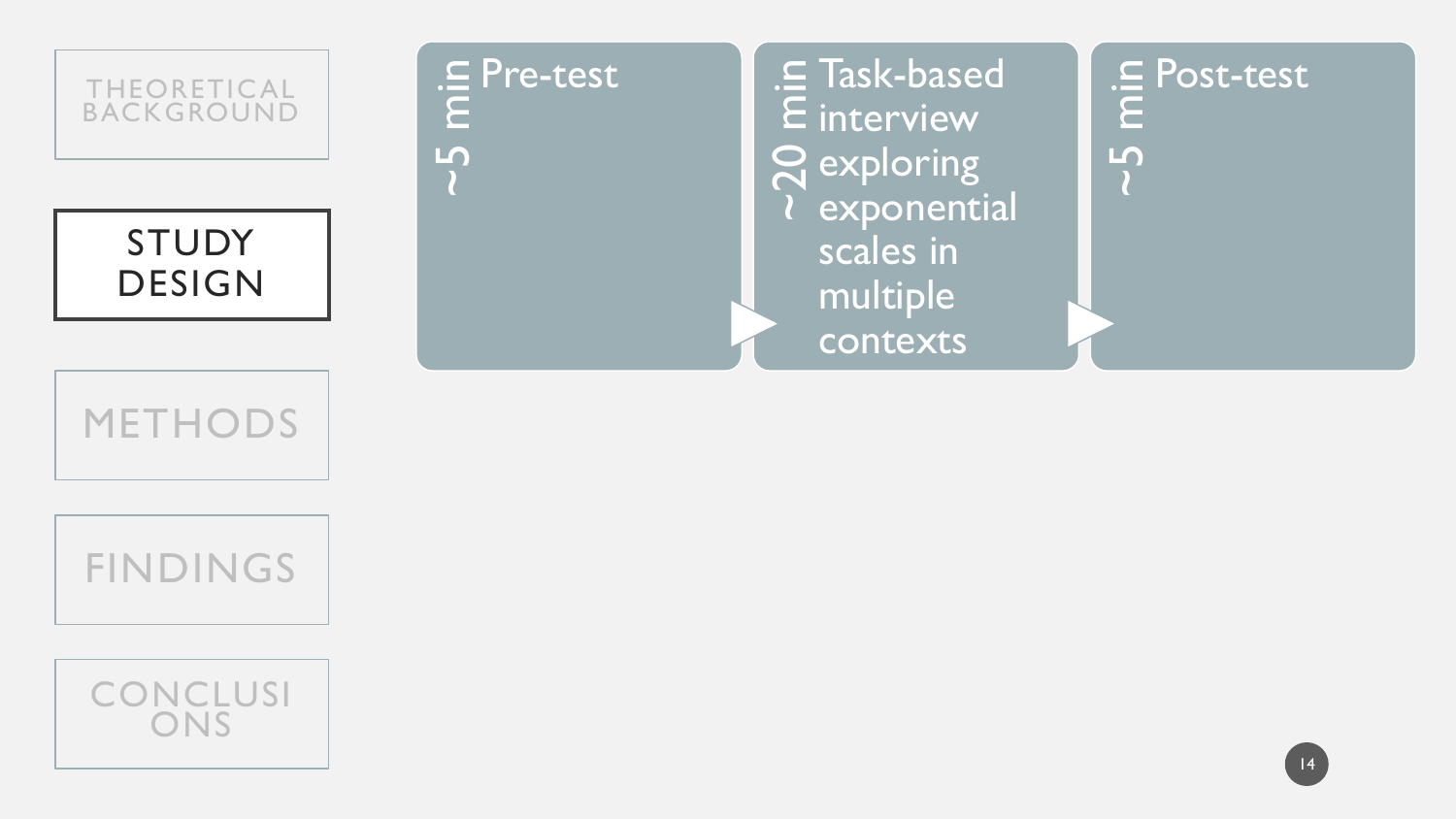

**STUDY** DESIGN







 $~\frac{1}{5}$  Pre-test

E Task-based<br>E interview<br>Q exploring<br>} exponential **E** interview exploring exponential scales in multiple contexts

 $~\stackrel{\text{...}}{\underset{\text{...}}{\mathsf{E}}\mathsf{Post-test}}$ 

14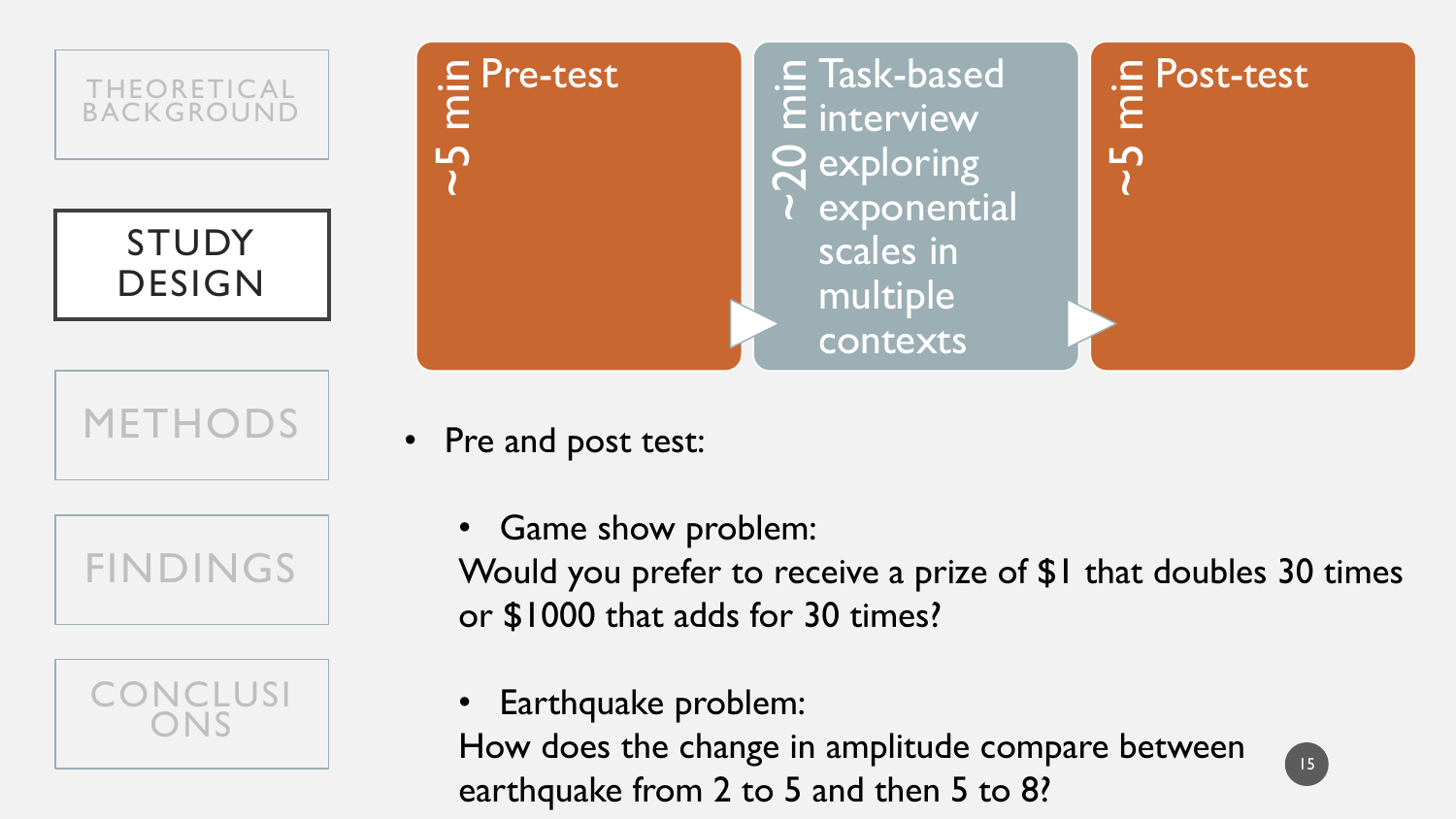

• Pre and post test:



METHODS

| CONCLUSI<br>ONS |
|-----------------|

• Game show problem: Would you prefer to receive a prize of \$1 that doubles 30 times or \$1000 that adds for 30 times?

 $|15\rangle$ 

• Earthquake problem:

How does the change in amplitude compare between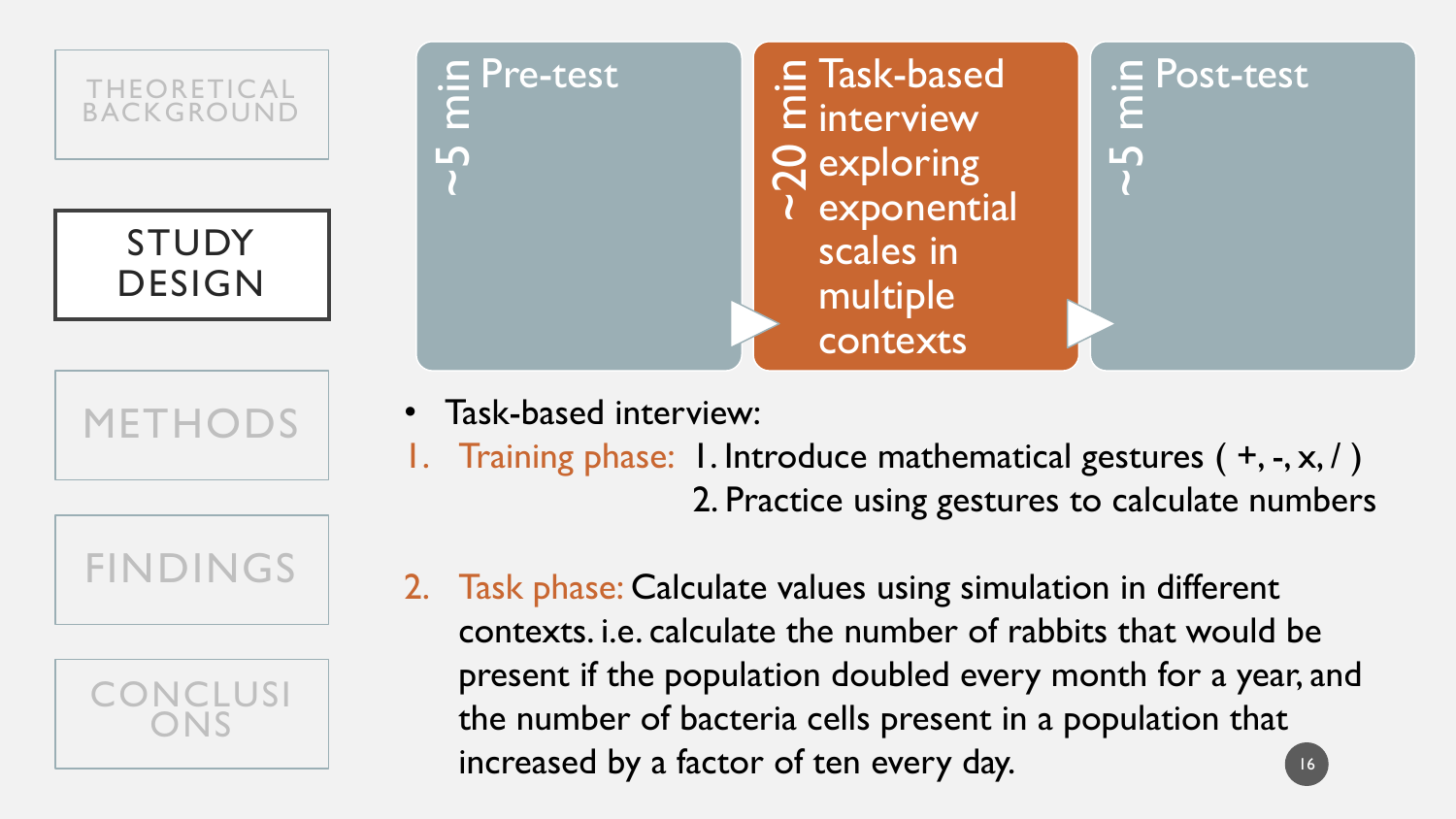

• Task-based interview:

METHODS

FINDINGS

CONCLUSI

ONS

- 1. Training phase: 1. Introduce mathematical gestures  $(+, -, x, / )$ 2. Practice using gestures to calculate numbers
- 16 2. Task phase: Calculate values using simulation in different contexts. i.e. calculate the number of rabbits that would be present if the population doubled every month for a year, and the number of bacteria cells present in a population that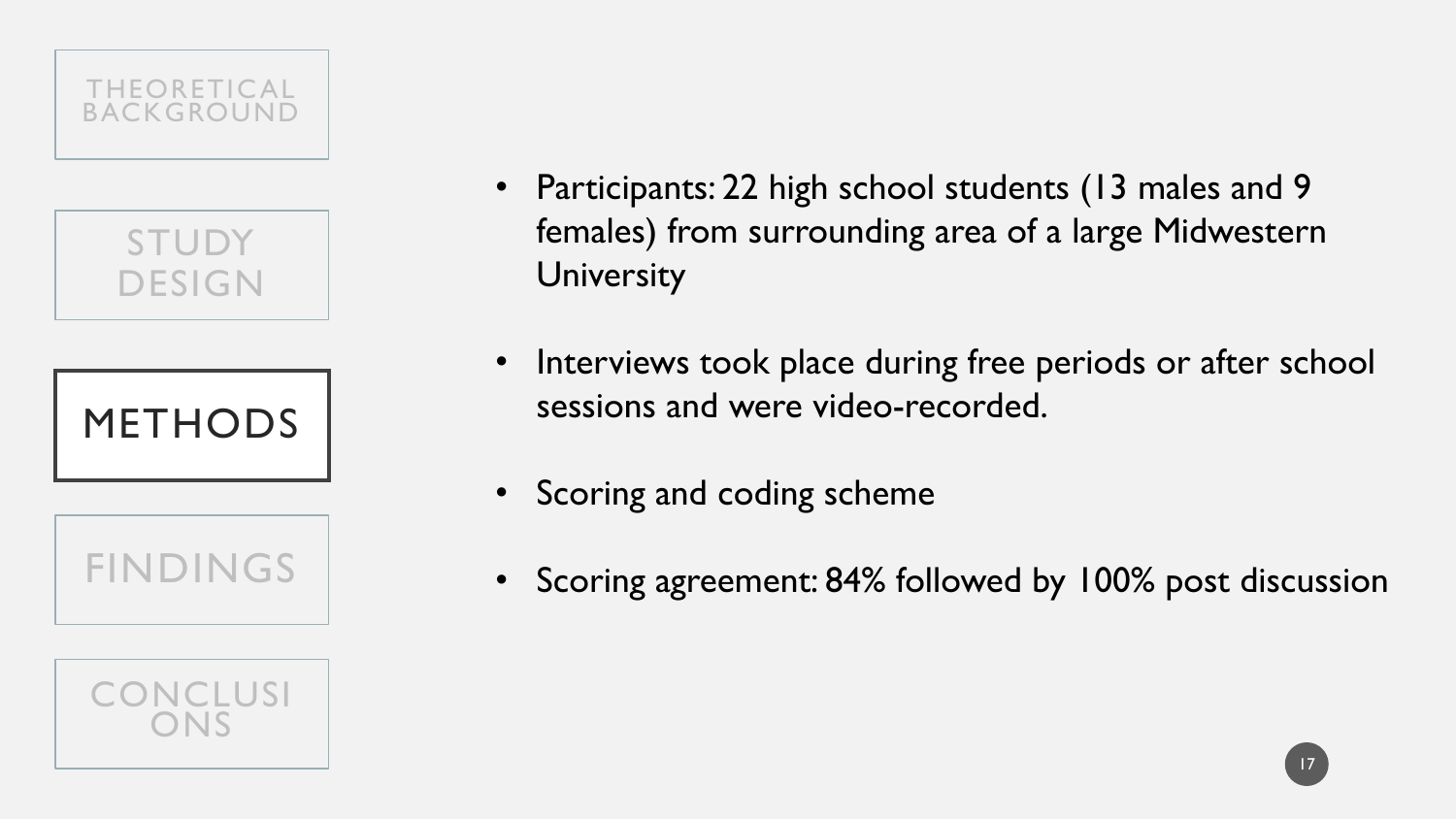





NCLUSI

**ONS** 

- Participants: 22 high school students (13 males and 9 females) from surrounding area of a large Midwestern **University**
- Interviews took place during free periods or after school sessions and were video-recorded.
- Scoring and coding scheme
- Scoring agreement: 84% followed by 100% post discussion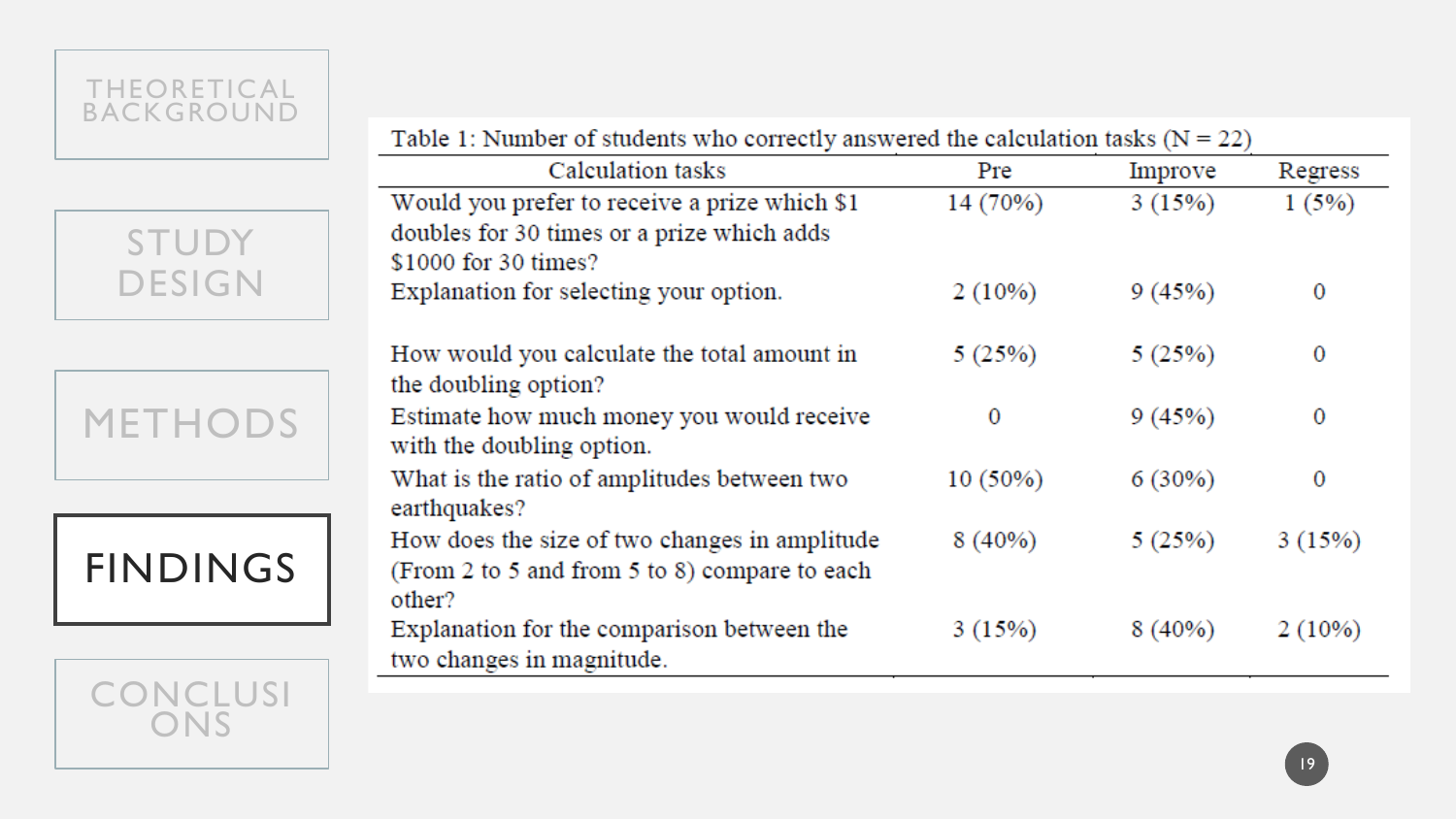| STUDY  |  |
|--------|--|
| DESIGN |  |





**CONCLUSI** 

**ONS** 

| Table 1: Number of students who correctly answered the calculation tasks $(N = 22)$ |            |           |           |  |  |
|-------------------------------------------------------------------------------------|------------|-----------|-----------|--|--|
| Calculation tasks                                                                   | Pre        | Improve   | Regress   |  |  |
| Would you prefer to receive a prize which \$1                                       | 14 (70%)   | 3(15%)    | 1(5%)     |  |  |
| doubles for 30 times or a prize which adds                                          |            |           |           |  |  |
| \$1000 for 30 times?                                                                |            |           |           |  |  |
| Explanation for selecting your option.                                              | $2(10\%)$  | 9(45%)    | 0         |  |  |
|                                                                                     |            |           |           |  |  |
| How would you calculate the total amount in                                         | 5(25%)     | 5(25%)    | 0         |  |  |
| the doubling option?                                                                |            |           |           |  |  |
| Estimate how much money you would receive                                           | 0          | 9(45%)    | 0         |  |  |
| with the doubling option.                                                           |            |           |           |  |  |
| What is the ratio of amplitudes between two                                         | $10(50\%)$ | $6(30\%)$ | 0         |  |  |
| earthquakes?                                                                        |            |           |           |  |  |
| How does the size of two changes in amplitude                                       | $8(40\%)$  | 5(25%)    | 3(15%)    |  |  |
| (From 2 to 5 and from 5 to 8) compare to each                                       |            |           |           |  |  |
| other?                                                                              |            |           |           |  |  |
| Explanation for the comparison between the                                          | 3(15%)     | $8(40\%)$ | $2(10\%)$ |  |  |
| two changes in magnitude.                                                           |            |           |           |  |  |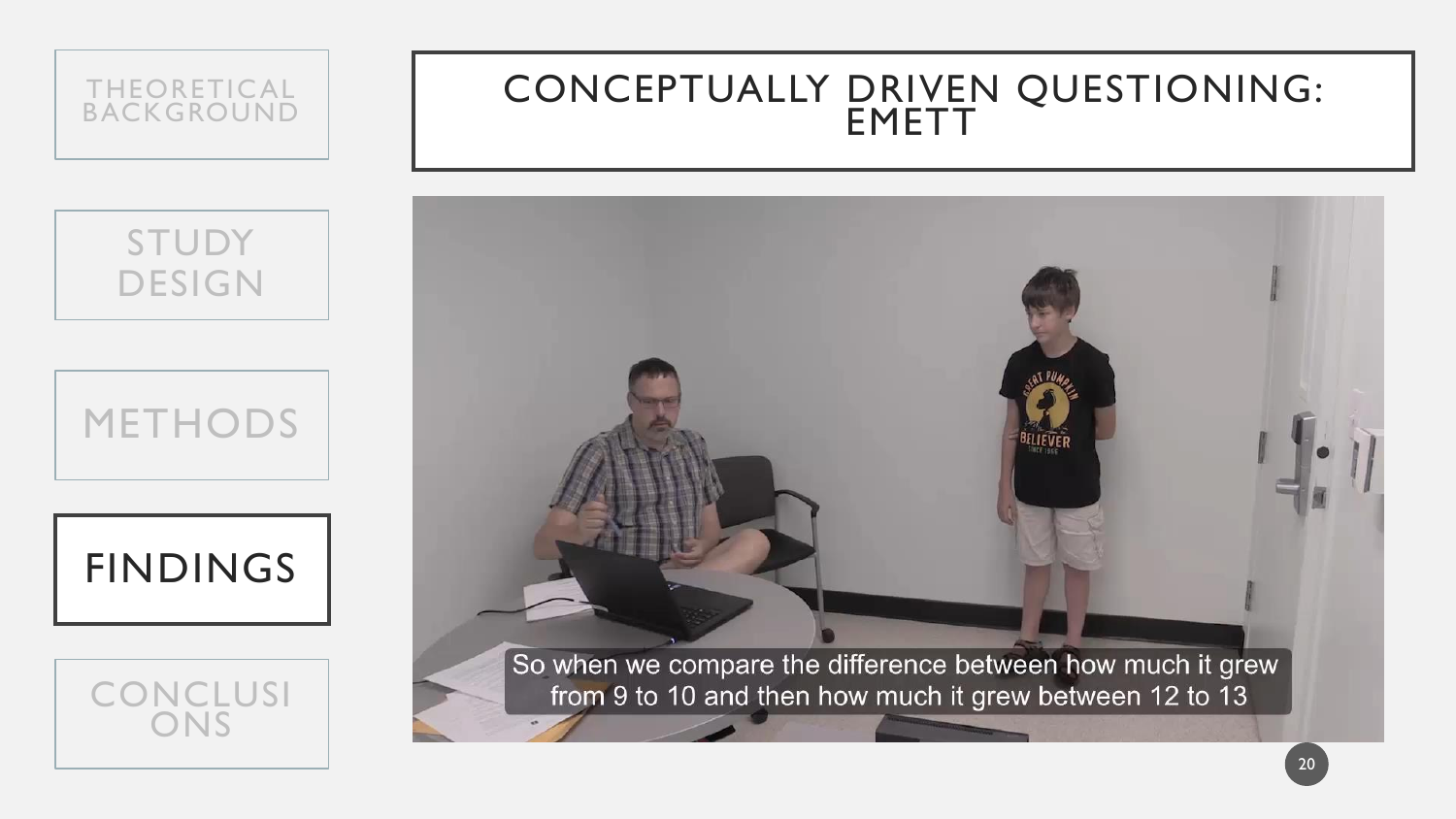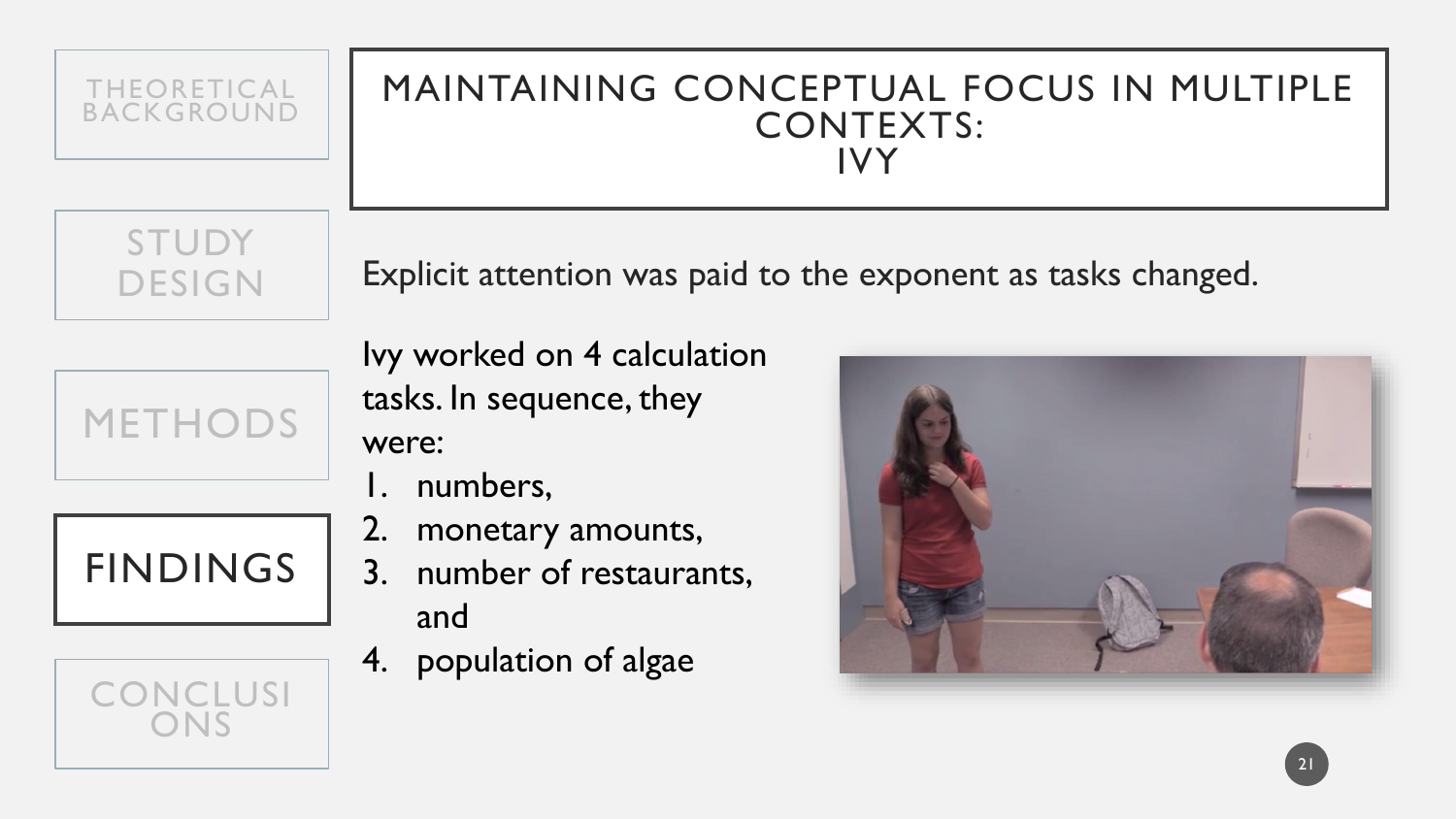

#### MAINTAINING CONCEPTUAL FOCUS IN MULTIPLE CONTEXTS: IVY

**STUDY** DESIGN

Explicit attention was paid to the exponent as tasks changed.



FINDINGS

**CONCLUSI** 

**ONS** 

Ivy worked on 4 calculation tasks. In sequence, they were:

- 1. numbers,
- 2. monetary amounts,
- 3. number of restaurants, and
- 4. population of algae

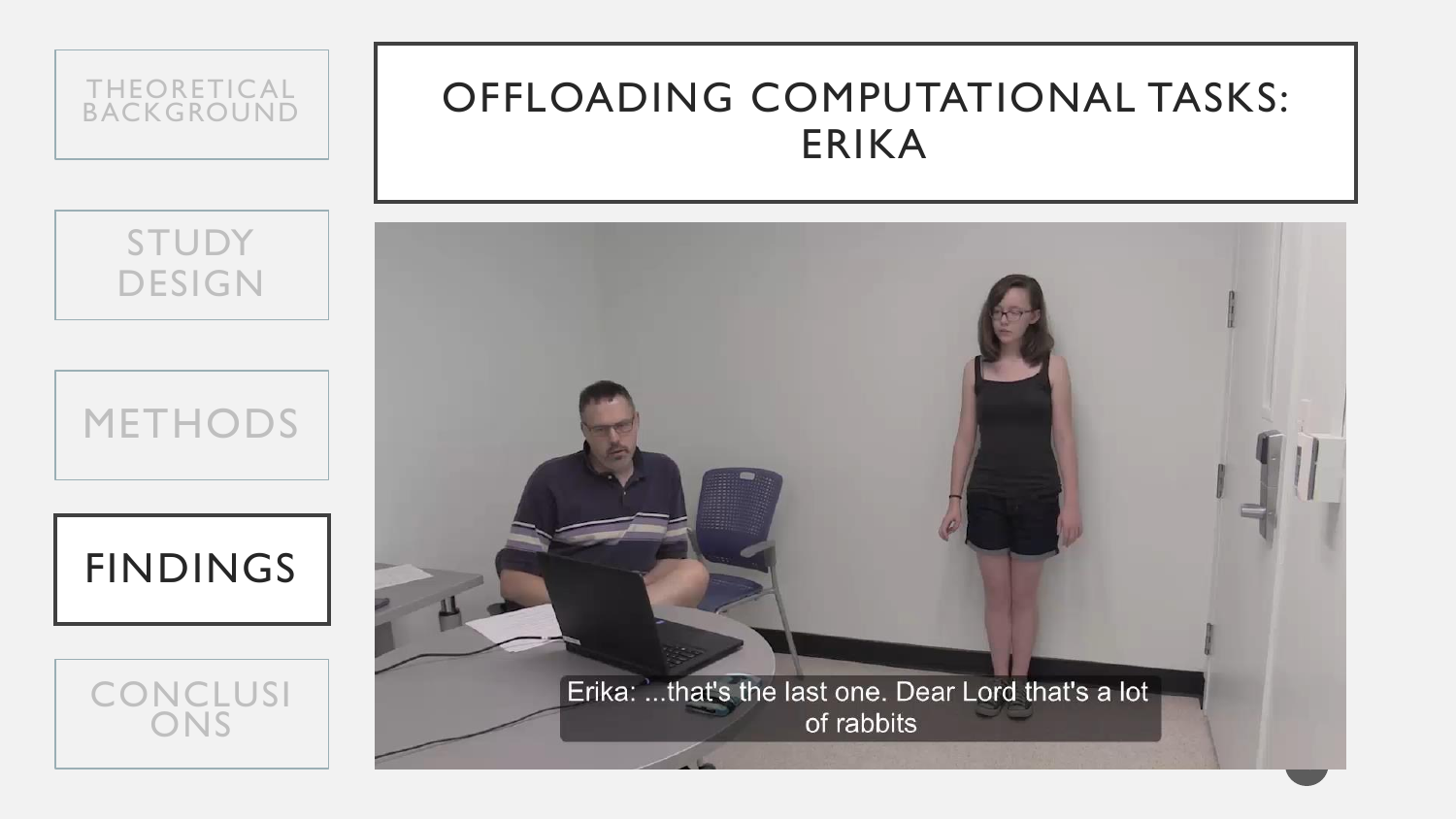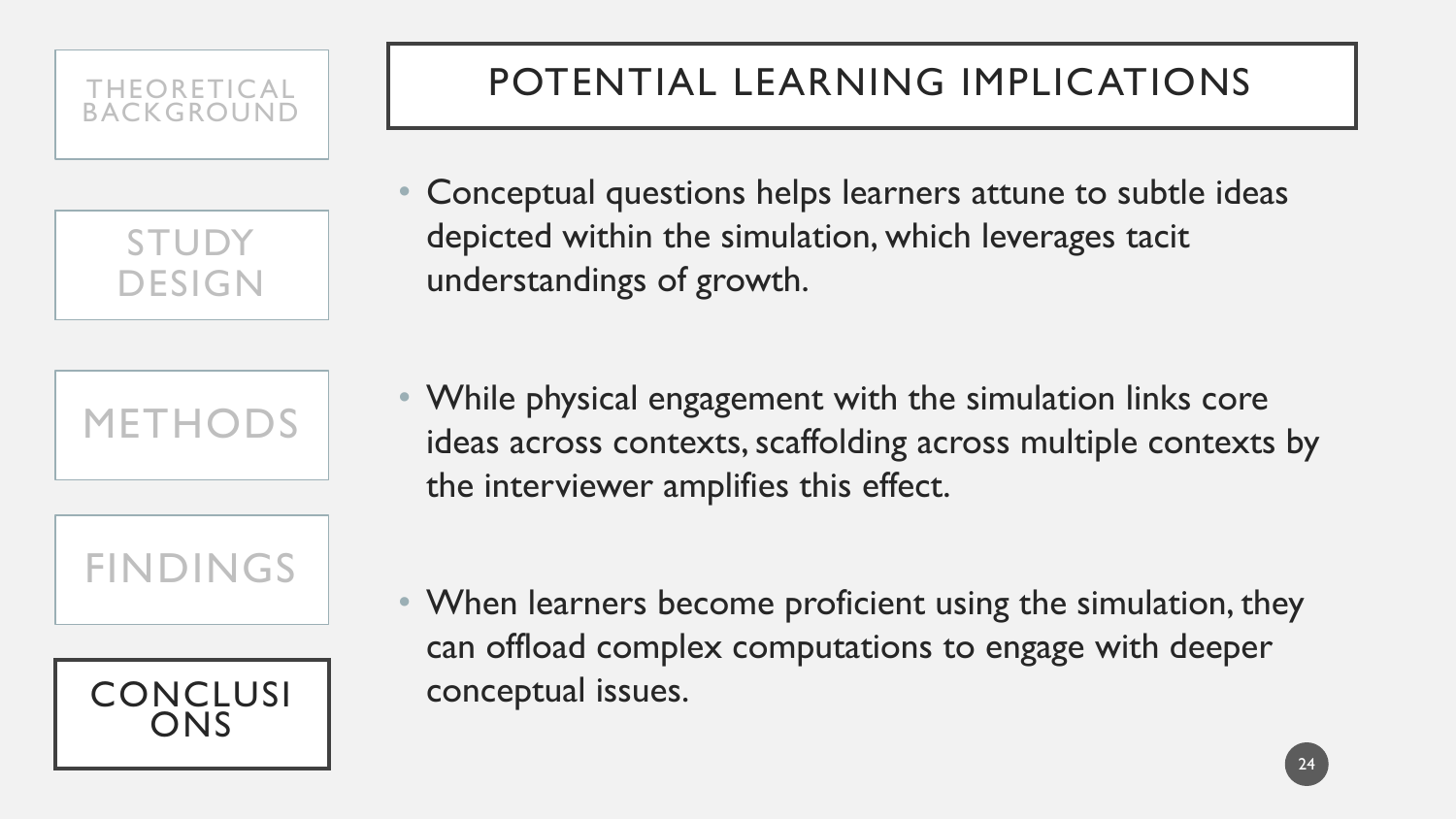

• Conceptual questions helps learners attune to subtle ideas depicted within the simulation, which leverages tacit understandings of growth.



• While physical engagement with the simulation links core ideas across contexts, scaffolding across multiple contexts by the interviewer amplifies this effect.

# FINDINGS



• When learners become proficient using the simulation, they can offload complex computations to engage with deeper conceptual issues.